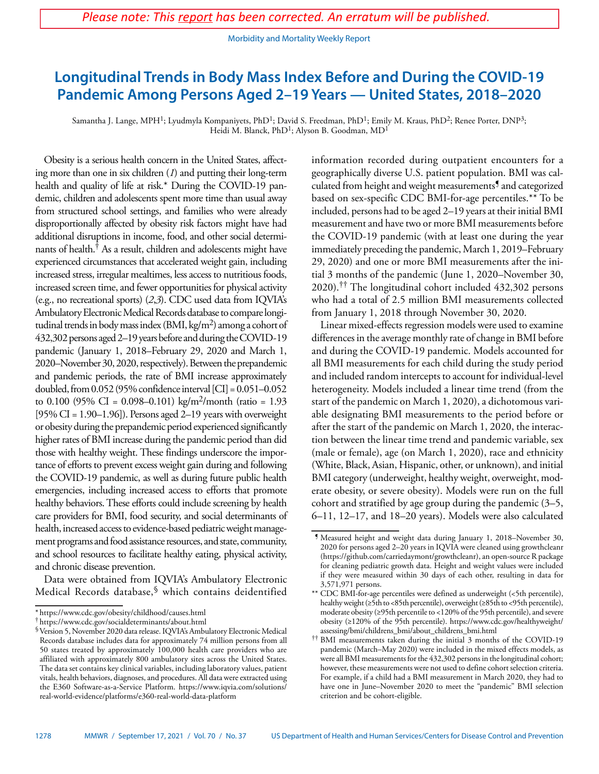Morbidity and Mortality Weekly Report

# **Longitudinal Trends in Body Mass Index Before and During the COVID-19 Pandemic Among Persons Aged 2–19 Years — United States, 2018–2020**

Samantha J. Lange, MPH<sup>1</sup>; Lyudmyla Kompaniyets, PhD<sup>1</sup>; David S. Freedman, PhD<sup>1</sup>; Emily M. Kraus, PhD<sup>2</sup>; Renee Porter, DNP<sup>3</sup>; Heidi M. Blanck, PhD<sup>1</sup>; Alyson B. Goodman, MD<sup>1</sup>

Obesity is a serious health concern in the United States, affecting more than one in six children (*1*) and putting their long-term health and quality of life at risk.\* During the COVID-19 pandemic, children and adolescents spent more time than usual away from structured school settings, and families who were already disproportionally affected by obesity risk factors might have had additional disruptions in income, food, and other social determinants of health.<sup>†</sup> As a result, children and adolescents might have experienced circumstances that accelerated weight gain, including increased stress, irregular mealtimes, less access to nutritious foods, increased screen time, and fewer opportunities for physical activity (e.g., no recreational sports) (*2*,*3*). CDC used data from IQVIA's Ambulatory Electronic Medical Records database to compare longitudinal trends in body mass index (BMI, kg/m<sup>2</sup>) among a cohort of 432,302 persons aged 2–19 years before and during the COVID-19 pandemic (January 1, 2018–February 29, 2020 and March 1, 2020–November 30, 2020, respectively). Between the prepandemic and pandemic periods, the rate of BMI increase approximately doubled, from  $0.052$  (95% confidence interval [CI] =  $0.051-0.052$ to 0.100 (95% CI = 0.098–0.101) kg/m<sup>2</sup>/month (ratio = 1.93  $[95\% \text{ CI} = 1.90 - 1.96]$ ). Persons aged 2-19 years with overweight or obesity during the prepandemic period experienced significantly higher rates of BMI increase during the pandemic period than did those with healthy weight. These findings underscore the importance of efforts to prevent excess weight gain during and following the COVID-19 pandemic, as well as during future public health emergencies, including increased access to efforts that promote healthy behaviors. These efforts could include screening by health care providers for BMI, food security, and social determinants of health, increased access to evidence-based pediatric weight management programs and food assistance resources, and state, community, and school resources to facilitate healthy eating, physical activity, and chronic disease prevention.

Data were obtained from IQVIA's Ambulatory Electronic Medical Records database,§ which contains deidentified

information recorded during outpatient encounters for a geographically diverse U.S. patient population. BMI was calculated from height and weight measurements¶ and categorized based on sex-specific CDC BMI-for-age percentiles.\*\* To be included, persons had to be aged 2–19 years at their initial BMI measurement and have two or more BMI measurements before the COVID-19 pandemic (with at least one during the year immediately preceding the pandemic, March 1, 2019–February 29, 2020) and one or more BMI measurements after the initial 3 months of the pandemic (June 1, 2020–November 30, 2020).†† The longitudinal cohort included 432,302 persons who had a total of 2.5 million BMI measurements collected from January 1, 2018 through November 30, 2020.

Linear mixed-effects regression models were used to examine differences in the average monthly rate of change in BMI before and during the COVID-19 pandemic. Models accounted for all BMI measurements for each child during the study period and included random intercepts to account for individual-level heterogeneity. Models included a linear time trend (from the start of the pandemic on March 1, 2020), a dichotomous variable designating BMI measurements to the period before or after the start of the pandemic on March 1, 2020, the interaction between the linear time trend and pandemic variable, sex (male or female), age (on March 1, 2020), race and ethnicity (White, Black, Asian, Hispanic, other, or unknown), and initial BMI category (underweight, healthy weight, overweight, moderate obesity, or severe obesity). Models were run on the full cohort and stratified by age group during the pandemic (3–5, 6–11, 12–17, and 18–20 years). Models were also calculated

<sup>\*</sup> <https://www.cdc.gov/obesity/childhood/causes.html>

<sup>†</sup> <https://www.cdc.gov/socialdeterminants/about.html>

<sup>§</sup>Version 5, November 2020 data release. IQVIA's Ambulatory Electronic Medical Records database includes data for approximately 74 million persons from all 50 states treated by approximately 100,000 health care providers who are affiliated with approximately 800 ambulatory sites across the United States. The data set contains key clinical variables, including laboratory values, patient vitals, health behaviors, diagnoses, and procedures. All data were extracted using the E360 Software-as-a-Service Platform. [https://www.iqvia.com/solutions/](https://www.iqvia.com/solutions/real-world-evidence/platforms/e360-real-world-data-platform) [real-world-evidence/platforms/e360-real-world-data-platform](https://www.iqvia.com/solutions/real-world-evidence/platforms/e360-real-world-data-platform)

<sup>¶</sup> Measured height and weight data during January 1, 2018–November 30, 2020 for persons aged 2–20 years in IQVIA were cleaned using growthcleanr [\(https://github.com/carriedaymont/growthcleanr\)](https://github.com/carriedaymont/growthcleanr), an open-source R package for cleaning pediatric growth data. Height and weight values were included if they were measured within 30 days of each other, resulting in data for 3,571,971 persons.

<sup>\*\*</sup> CDC BMI-for-age percentiles were defined as underweight (<5th percentile), healthy weight (≥5th to <85th percentile), overweight (≥85th to <95th percentile), moderate obesity (≥95th percentile to <120% of the 95th percentile), and severe obesity (≥120% of the 95th percentile). [https://www.cdc.gov/healthyweight/](https://www.cdc.gov/healthyweight/assessing/bmi/childrens_bmi/about_childrens_bmi.html) [assessing/bmi/childrens\\_bmi/about\\_childrens\\_bmi.html](https://www.cdc.gov/healthyweight/assessing/bmi/childrens_bmi/about_childrens_bmi.html)

<sup>††</sup> BMI measurements taken during the initial 3 months of the COVID-19 pandemic (March–May 2020) were included in the mixed effects models, as were all BMI measurements for the 432,302 persons in the longitudinal cohort; however, these measurements were not used to define cohort selection criteria. For example, if a child had a BMI measurement in March 2020, they had to have one in June–November 2020 to meet the "pandemic" BMI selection criterion and be cohort-eligible.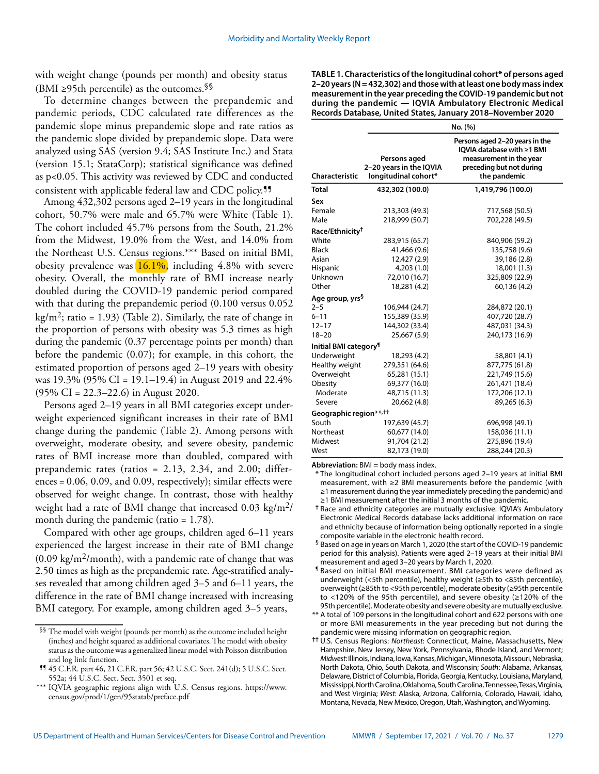with weight change (pounds per month) and obesity status (BMI ≥95th percentile) as the outcomes.  $\$ §

To determine changes between the prepandemic and pandemic periods, CDC calculated rate differences as the pandemic slope minus prepandemic slope and rate ratios as the pandemic slope divided by prepandemic slope. Data were analyzed using SAS (version 9.4; SAS Institute Inc.) and Stata (version 15.1; StataCorp); statistical significance was defined as p<0.05. This activity was reviewed by CDC and conducted consistent with applicable federal law and CDC policy.<sup>99</sup>

Among 432,302 persons aged 2–19 years in the longitudinal cohort, 50.7% were male and 65.7% were White (Table 1). The cohort included 45.7% persons from the South, 21.2% from the Midwest, 19.0% from the West, and 14.0% from the Northeast U.S. Census regions.\*\*\* Based on initial BMI, obesity prevalence was  $16.1\%$ , including 4.8% with severe obesity. Overall, the monthly rate of BMI increase nearly doubled during the COVID-19 pandemic period compared with that during the prepandemic period (0.100 versus 0.052 kg/m<sup>2</sup>; ratio = 1.93) (Table 2). Similarly, the rate of change in the proportion of persons with obesity was 5.3 times as high during the pandemic (0.37 percentage points per month) than before the pandemic (0.07); for example, in this cohort, the estimated proportion of persons aged 2–19 years with obesity was 19.3% (95% CI = 19.1–19.4) in August 2019 and 22.4% (95% CI = 22.3–22.6) in August 2020.

Persons aged 2–19 years in all BMI categories except underweight experienced significant increases in their rate of BMI change during the pandemic (Table 2). Among persons with overweight, moderate obesity, and severe obesity, pandemic rates of BMI increase more than doubled, compared with prepandemic rates (ratios = 2.13, 2.34, and 2.00; differences = 0.06, 0.09, and 0.09, respectively); similar effects were observed for weight change. In contrast, those with healthy weight had a rate of BMI change that increased 0.03 kg/m<sup>2</sup>/ month during the pandemic (ratio = 1.78).

Compared with other age groups, children aged 6–11 years experienced the largest increase in their rate of BMI change  $(0.09 \text{ kg/m}^2/\text{month})$ , with a pandemic rate of change that was 2.50 times as high as the prepandemic rate. Age-stratified analyses revealed that among children aged 3–5 and 6–11 years, the difference in the rate of BMI change increased with increasing BMI category. For example, among children aged 3–5 years,

**TABLE 1. Characteristics of the longitudinal cohort\* of persons aged 2–20 years (N = 432,302) and those with at least one body mass index measurement in the year preceding the COVID-19 pandemic but not during the pandemic — IQVIA Ambulatory Electronic Medical Records Database, United States, January 2018–November 2020**

|                                    | No. (%)                                                         |                                                                                                                                     |  |  |
|------------------------------------|-----------------------------------------------------------------|-------------------------------------------------------------------------------------------------------------------------------------|--|--|
| Characteristic                     | Persons aged<br>2-20 years in the IQVIA<br>longitudinal cohort* | Persons aged 2-20 years in the<br>IOVIA database with ≥1 BMI<br>measurement in the year<br>preceding but not during<br>the pandemic |  |  |
| Total                              | 432,302 (100.0)                                                 | 1,419,796 (100.0)                                                                                                                   |  |  |
| Sex                                |                                                                 |                                                                                                                                     |  |  |
| Female                             | 213,303 (49.3)                                                  | 717,568 (50.5)                                                                                                                      |  |  |
| Male                               | 218,999 (50.7)                                                  | 702,228 (49.5)                                                                                                                      |  |  |
| Race/Ethnicity <sup>†</sup>        |                                                                 |                                                                                                                                     |  |  |
| White                              | 283,915 (65.7)                                                  | 840,906 (59.2)                                                                                                                      |  |  |
| <b>Black</b>                       | 41,466 (9.6)                                                    | 135,758 (9.6)                                                                                                                       |  |  |
| Asian                              | 12,427 (2.9)                                                    | 39,186 (2.8)                                                                                                                        |  |  |
| Hispanic                           | 4,203(1.0)                                                      | 18,001 (1.3)                                                                                                                        |  |  |
| Unknown                            | 72,010 (16.7)                                                   | 325,809 (22.9)                                                                                                                      |  |  |
| Other                              | 18,281 (4.2)                                                    | 60,136 (4.2)                                                                                                                        |  |  |
| Age group, yrs <sup>§</sup>        |                                                                 |                                                                                                                                     |  |  |
| $2 - 5$                            | 106,944 (24.7)                                                  | 284,872 (20.1)                                                                                                                      |  |  |
| $6 - 11$                           | 155,389 (35.9)                                                  | 407,720 (28.7)                                                                                                                      |  |  |
| $12 - 17$                          | 144,302 (33.4)                                                  | 487,031 (34.3)                                                                                                                      |  |  |
| $18 - 20$                          | 25,667 (5.9)                                                    | 240,173 (16.9)                                                                                                                      |  |  |
| Initial BMI category <sup>¶</sup>  |                                                                 |                                                                                                                                     |  |  |
| Underweight                        | 18,293 (4.2)                                                    | 58,801 (4.1)                                                                                                                        |  |  |
| Healthy weight                     | 279,351 (64.6)                                                  | 877,775 (61.8)                                                                                                                      |  |  |
| Overweight                         | 65,281 (15.1)                                                   | 221,749 (15.6)                                                                                                                      |  |  |
| Obesity                            | 69,377 (16.0)                                                   | 261,471 (18.4)                                                                                                                      |  |  |
| Moderate                           | 48,715 (11.3)                                                   | 172,206 (12.1)                                                                                                                      |  |  |
| Severe                             | 20,662 (4.8)                                                    | 89,265 (6.3)                                                                                                                        |  |  |
| Geographic region**, <sup>††</sup> |                                                                 |                                                                                                                                     |  |  |
| South                              | 197,639 (45.7)                                                  | 696,998 (49.1)                                                                                                                      |  |  |
| Northeast                          | 60,677 (14.0)                                                   | 158,036 (11.1)                                                                                                                      |  |  |
| Midwest                            | 91,704 (21.2)                                                   | 275,896 (19.4)                                                                                                                      |  |  |
| West                               | 82,173 (19.0)                                                   | 288,244 (20.3)                                                                                                                      |  |  |

**Abbreviation:** BMI = body mass index.

\* The longitudinal cohort included persons aged 2–19 years at initial BMI measurement, with ≥2 BMI measurements before the pandemic (with ≥1 measurement during the year immediately preceding the pandemic) and ≥1 BMI measurement after the initial 3 months of the pandemic.

**†** Race and ethnicity categories are mutually exclusive. IQVIA's Ambulatory Electronic Medical Records database lacks additional information on race and ethnicity because of information being optionally reported in a single composite variable in the electronic health record.

- § Based on age in years on March 1, 2020 (the start of the COVID-19 pandemic period for this analysis). Patients were aged 2–19 years at their initial BMI measurement and aged 3–20 years by March 1, 2020.
- ¶ Based on initial BMI measurement. BMI categories were defined as underweight (<5th percentile), healthy weight (≥5th to <85th percentile), overweight (≥85th to <95th percentile), moderate obesity (≥95th percentile to <120% of the 95th percentile), and severe obesity (≥120% of the 95th percentile). Moderate obesity and severe obesity are mutually exclusive.
- \*\* A total of 109 persons in the longitudinal cohort and 622 persons with one or more BMI measurements in the year preceding but not during the pandemic were missing information on geographic region.

 $\S$  The model with weight (pounds per month) as the outcome included height (inches) and height squared as additional covariates. The model with obesity status as the outcome was a generalized linear model with Poisson distribution and log link function.

<sup>¶¶</sup> 45 C.F.R. part 46, 21 C.F.R. part 56; 42 U.S.C. Sect. 241(d); 5 U.S.C. Sect. 552a; 44 U.S.C. Sect. Sect. 3501 et seq.

<sup>\*\*\*</sup> IQVIA geographic regions align with U.S. Census regions. [https://www.](https://www.census.gov/prod/1/gen/95statab/preface.pdf) [census.gov/prod/1/gen/95statab/preface.pdf](https://www.census.gov/prod/1/gen/95statab/preface.pdf)

**<sup>††</sup>** U.S. Census Regions: *Northeast*: Connecticut, Maine, Massachusetts, New Hampshire, New Jersey, New York, Pennsylvania, Rhode Island, and Vermont; *Midwest*: Illinois, Indiana, Iowa, Kansas, Michigan, Minnesota, Missouri, Nebraska, North Dakota, Ohio, South Dakota, and Wisconsin; *South*: Alabama, Arkansas, Delaware, District of Columbia, Florida, Georgia, Kentucky, Louisiana, Maryland, Mississippi, North Carolina, Oklahoma, South Carolina, Tennessee, Texas, Virginia, and West Virginia; *West*: Alaska, Arizona, California, Colorado, Hawaii, Idaho, Montana, Nevada, New Mexico, Oregon, Utah, Washington, and Wyoming.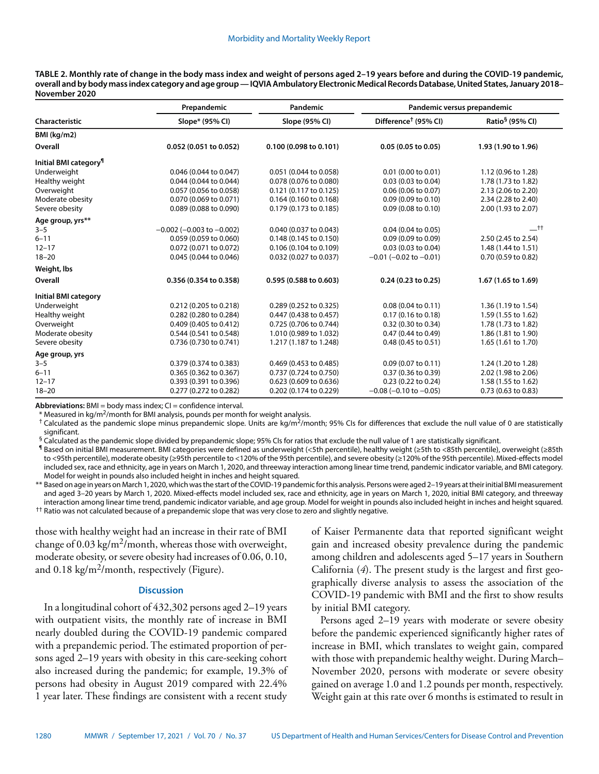| TABLE 2. Monthly rate of change in the body mass index and weight of persons aged 2–19 years before and during the COVID-19 pandemic,      |
|--------------------------------------------------------------------------------------------------------------------------------------------|
| overall and by body mass index category and age group — IQVIA Ambulatory Electronic Medical Records Database, United States, January 2018– |
| November 2020                                                                                                                              |

|                                   | Prepandemic                       | Pandemic               | Pandemic versus prepandemic      |                             |
|-----------------------------------|-----------------------------------|------------------------|----------------------------------|-----------------------------|
| Characteristic                    | Slope* (95% CI)                   | Slope (95% CI)         | Difference <sup>†</sup> (95% CI) | Ratio <sup>§</sup> (95% CI) |
| BMI (kg/m2)                       |                                   |                        |                                  |                             |
| Overall                           | 0.052(0.051 to 0.052)             | 0.100(0.098 to 0.101)  | $0.05(0.05 \text{ to } 0.05)$    | 1.93 (1.90 to 1.96)         |
| Initial BMI category <sup>1</sup> |                                   |                        |                                  |                             |
| Underweight                       | 0.046 (0.044 to 0.047)            | 0.051 (0.044 to 0.058) | $0.01$ (0.00 to 0.01)            | 1.12 (0.96 to 1.28)         |
| Healthy weight                    | 0.044 (0.044 to 0.044)            | 0.078 (0.076 to 0.080) | 0.03 (0.03 to 0.04)              | 1.78 (1.73 to 1.82)         |
| Overweight                        | 0.057 (0.056 to 0.058)            | 0.121 (0.117 to 0.125) | 0.06 (0.06 to 0.07)              | 2.13 (2.06 to 2.20)         |
| Moderate obesity                  | 0.070 (0.069 to 0.071)            | 0.164 (0.160 to 0.168) | 0.09(0.09 to 0.10)               | 2.34 (2.28 to 2.40)         |
| Severe obesity                    | 0.089 (0.088 to 0.090)            | 0.179 (0.173 to 0.185) | $0.09$ (0.08 to 0.10)            | 2.00 (1.93 to 2.07)         |
| Age group, yrs**                  |                                   |                        |                                  |                             |
| $3 - 5$                           | $-0.002$ ( $-0.003$ to $-0.002$ ) | 0.040 (0.037 to 0.043) | $0.04$ (0.04 to 0.05)            | $\_$ tt                     |
| $6 - 11$                          | 0.059 (0.059 to 0.060)            | 0.148 (0.145 to 0.150) | 0.09 (0.09 to 0.09)              | 2.50 (2.45 to 2.54)         |
| $12 - 17$                         | 0.072 (0.071 to 0.072)            | 0.106 (0.104 to 0.109) | 0.03 (0.03 to 0.04)              | 1.48 (1.44 to 1.51)         |
| $18 - 20$                         | 0.045 (0.044 to 0.046)            | 0.032 (0.027 to 0.037) | $-0.01$ ( $-0.02$ to $-0.01$ )   | 0.70 (0.59 to 0.82)         |
| Weight, Ibs                       |                                   |                        |                                  |                             |
| Overall                           | 0.356 (0.354 to 0.358)            | 0.595 (0.588 to 0.603) | 0.24(0.23 to 0.25)               | 1.67 (1.65 to 1.69)         |
| <b>Initial BMI category</b>       |                                   |                        |                                  |                             |
| Underweight                       | 0.212 (0.205 to 0.218)            | 0.289 (0.252 to 0.325) | 0.08(0.04 to 0.11)               | 1.36 (1.19 to 1.54)         |
| Healthy weight                    | 0.282 (0.280 to 0.284)            | 0.447 (0.438 to 0.457) | $0.17$ (0.16 to 0.18)            | 1.59 (1.55 to 1.62)         |
| Overweight                        | 0.409 (0.405 to 0.412)            | 0.725 (0.706 to 0.744) | 0.32 (0.30 to 0.34)              | 1.78 (1.73 to 1.82)         |
| Moderate obesity                  | 0.544 (0.541 to 0.548)            | 1.010 (0.989 to 1.032) | 0.47 (0.44 to 0.49)              | 1.86 (1.81 to 1.90)         |
| Severe obesity                    | 0.736 (0.730 to 0.741)            | 1.217 (1.187 to 1.248) | 0.48 (0.45 to 0.51)              | 1.65 (1.61 to 1.70)         |
| Age group, yrs                    |                                   |                        |                                  |                             |
| $3 - 5$                           | 0.379 (0.374 to 0.383)            | 0.469 (0.453 to 0.485) | 0.09(0.07 to 0.11)               | 1.24 (1.20 to 1.28)         |
| $6 - 11$                          | 0.365 (0.362 to 0.367)            | 0.737 (0.724 to 0.750) | 0.37 (0.36 to 0.39)              | 2.02 (1.98 to 2.06)         |
| $12 - 17$                         | 0.393 (0.391 to 0.396)            | 0.623 (0.609 to 0.636) | 0.23 (0.22 to 0.24)              | 1.58 (1.55 to 1.62)         |
| $18 - 20$                         | 0.277 (0.272 to 0.282)            | 0.202 (0.174 to 0.229) | $-0.08$ ( $-0.10$ to $-0.05$ )   | 0.73 (0.63 to 0.83)         |

Abbreviations: BMI = body mass index; CI = confidence interval.

\* Measured in kg/m2/month for BMI analysis, pounds per month for weight analysis.

<sup>†</sup> Calculated as the pandemic slope minus prepandemic slope. Units are kg/m<sup>2</sup>/month; 95% CIs for differences that exclude the null value of 0 are statistically significant.

§ Calculated as the pandemic slope divided by prepandemic slope; 95% CIs for ratios that exclude the null value of 1 are statistically significant.

¶ Based on initial BMI measurement. BMI categories were defined as underweight (<5th percentile), healthy weight (≥5th to <85th percentile), overweight (≥85th to <95th percentile), moderate obesity (≥95th percentile to <120% of the 95th percentile), and severe obesity (≥120% of the 95th percentile). Mixed-effects model included sex, race and ethnicity, age in years on March 1, 2020, and threeway interaction among linear time trend, pandemic indicator variable, and BMI category. Model for weight in pounds also included height in inches and height squared.

\*\* Based on age in years on March 1, 2020, which was the start of the COVID-19 pandemic for this analysis. Persons were aged 2–19 years at their initial BMI measurement and aged 3–20 years by March 1, 2020. Mixed-effects model included sex, race and ethnicity, age in years on March 1, 2020, initial BMI category, and threeway interaction among linear time trend, pandemic indicator variable, and age group. Model for weight in pounds also included height in inches and height squared. †† Ratio was not calculated because of a prepandemic slope that was very close to zero and slightly negative.

those with healthy weight had an increase in their rate of BMI change of  $0.03 \text{ kg/m}^2$ /month, whereas those with overweight, moderate obesity, or severe obesity had increases of 0.06, 0.10, and  $0.18 \text{ kg/m}^2/\text{month}$ , respectively (Figure).

## **Discussion**

In a longitudinal cohort of 432,302 persons aged 2–19 years with outpatient visits, the monthly rate of increase in BMI nearly doubled during the COVID-19 pandemic compared with a prepandemic period. The estimated proportion of persons aged 2–19 years with obesity in this care-seeking cohort also increased during the pandemic; for example, 19.3% of persons had obesity in August 2019 compared with 22.4% 1 year later. These findings are consistent with a recent study

of Kaiser Permanente data that reported significant weight gain and increased obesity prevalence during the pandemic among children and adolescents aged 5–17 years in Southern California (*4*). The present study is the largest and first geographically diverse analysis to assess the association of the COVID-19 pandemic with BMI and the first to show results by initial BMI category.

Persons aged 2–19 years with moderate or severe obesity before the pandemic experienced significantly higher rates of increase in BMI, which translates to weight gain, compared with those with prepandemic healthy weight. During March– November 2020, persons with moderate or severe obesity gained on average 1.0 and 1.2 pounds per month, respectively. Weight gain at this rate over 6 months is estimated to result in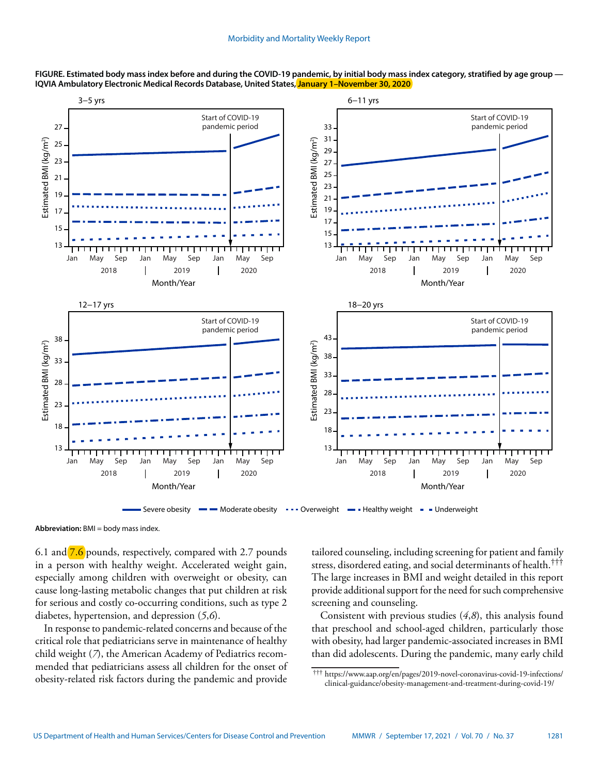

**FIGURE. Estimated body mass index before and during the COVID-19 pandemic, by initial body mass index category, stratified by age group — IQVIA Ambulatory Electronic Medical Records Database, United States, [January 1–November 30, 2020](https://www.cdc.gov/mmwr/volumes/70/wr/mm7037a3.htm?s_cid=mm7037a3_w)**

**Abbreviation:** BMI = body mass index.

6.1 and [7.6](https://www.cdc.gov/mmwr/volumes/70/wr/mm7037a3.htm?s_cid=mm7037a3_w) pounds, respectively, compared with 2.7 pounds in a person with healthy weight. Accelerated weight gain, especially among children with overweight or obesity, can cause long-lasting metabolic changes that put children at risk for serious and costly co-occurring conditions, such as type 2 diabetes, hypertension, and depression (*5*,*6*).

In response to pandemic-related concerns and because of the critical role that pediatricians serve in maintenance of healthy child weight (*7*), the American Academy of Pediatrics recommended that pediatricians assess all children for the onset of obesity-related risk factors during the pandemic and provide

tailored counseling, including screening for patient and family stress, disordered eating, and social determinants of health.††† The large increases in BMI and weight detailed in this report provide additional support for the need for such comprehensive screening and counseling.

Consistent with previous studies (*4*,*8*), this analysis found that preschool and school-aged children, particularly those with obesity, had larger pandemic-associated increases in BMI than did adolescents. During the pandemic, many early child

<sup>†††</sup> [https://www.aap.org/en/pages/2019-novel-coronavirus-covid-19-infections/](https://www.aap.org/en/pages/2019-novel-coronavirus-covid-19-infections/clinical-guidance/obesity-management-and-treatment-during-covid-19/) [clinical-guidance/obesity-management-and-treatment-during-covid-19/](https://www.aap.org/en/pages/2019-novel-coronavirus-covid-19-infections/clinical-guidance/obesity-management-and-treatment-during-covid-19/)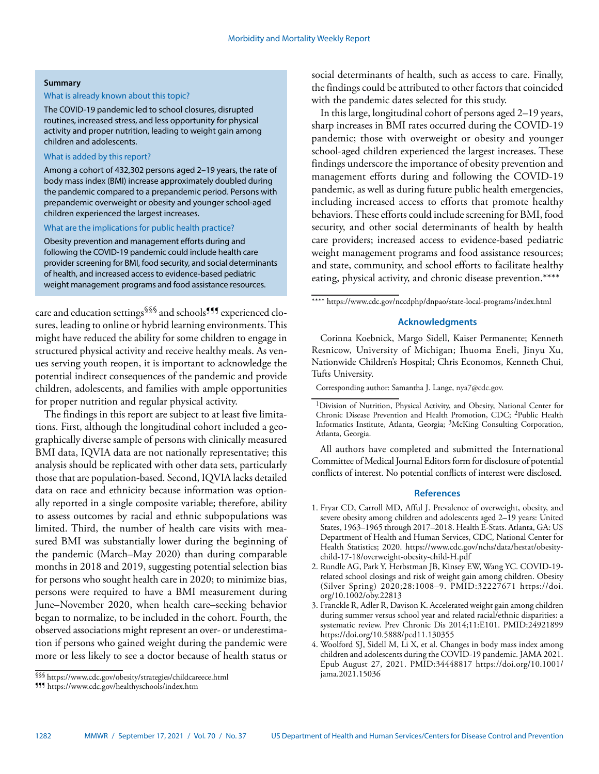#### **Summary**

## What is already known about this topic?

The COVID-19 pandemic led to school closures, disrupted routines, increased stress, and less opportunity for physical activity and proper nutrition, leading to weight gain among children and adolescents.

# What is added by this report?

Among a cohort of 432,302 persons aged 2–19 years, the rate of body mass index (BMI) increase approximately doubled during the pandemic compared to a prepandemic period. Persons with prepandemic overweight or obesity and younger school-aged children experienced the largest increases.

### What are the implications for public health practice?

Obesity prevention and management efforts during and following the COVID-19 pandemic could include health care provider screening for BMI, food security, and social determinants of health, and increased access to evidence-based pediatric weight management programs and food assistance resources.

care and education settings<sup>§§§</sup> and schools<sup>¶¶</sup> experienced closures, leading to online or hybrid learning environments. This might have reduced the ability for some children to engage in structured physical activity and receive healthy meals. As venues serving youth reopen, it is important to acknowledge the potential indirect consequences of the pandemic and provide children, adolescents, and families with ample opportunities for proper nutrition and regular physical activity.

The findings in this report are subject to at least five limitations. First, although the longitudinal cohort included a geographically diverse sample of persons with clinically measured BMI data, IQVIA data are not nationally representative; this analysis should be replicated with other data sets, particularly those that are population-based. Second, IQVIA lacks detailed data on race and ethnicity because information was optionally reported in a single composite variable; therefore, ability to assess outcomes by racial and ethnic subpopulations was limited. Third, the number of health care visits with measured BMI was substantially lower during the beginning of the pandemic (March–May 2020) than during comparable months in 2018 and 2019, suggesting potential selection bias for persons who sought health care in 2020; to minimize bias, persons were required to have a BMI measurement during June–November 2020, when health care–seeking behavior began to normalize, to be included in the cohort. Fourth, the observed associations might represent an over- or underestimation if persons who gained weight during the pandemic were more or less likely to see a doctor because of health status or

social determinants of health, such as access to care. Finally, the findings could be attributed to other factors that coincided with the pandemic dates selected for this study.

In this large, longitudinal cohort of persons aged 2–19 years, sharp increases in BMI rates occurred during the COVID-19 pandemic; those with overweight or obesity and younger school-aged children experienced the largest increases. These findings underscore the importance of obesity prevention and management efforts during and following the COVID-19 pandemic, as well as during future public health emergencies, including increased access to efforts that promote healthy behaviors. These efforts could include screening for BMI, food security, and other social determinants of health by health care providers; increased access to evidence-based pediatric weight management programs and food assistance resources; and state, community, and school efforts to facilitate healthy eating, physical activity, and chronic disease prevention.\*\*\*\*

# **Acknowledgments**

Corinna Koebnick, Margo Sidell, Kaiser Permanente; Kenneth Resnicow, University of Michigan; Ihuoma Eneli, Jinyu Xu, Nationwide Children's Hospital; Chris Economos, Kenneth Chui, Tufts University.

Corresponding author: Samantha J. Lange, [nya7@cdc.gov.](mailto:nya7@cdc.gov)

All authors have completed and submitted the International Committee of Medical Journal Editors form for disclosure of potential conflicts of interest. No potential conflicts of interest were disclosed.

### **References**

- 1. Fryar CD, Carroll MD, Afful J. Prevalence of overweight, obesity, and severe obesity among children and adolescents aged 2–19 years: United States, 1963–1965 through 2017–2018. Health E-Stats. Atlanta, GA: US Department of Health and Human Services, CDC, National Center for Health Statistics; 2020. [https://www.cdc.gov/nchs/data/hestat/obesity](https://www.cdc.gov/nchs/data/hestat/obesity-child-17-18/overweight-obesity-child-H.pdf)[child-17-18/overweight-obesity-child-H.pdf](https://www.cdc.gov/nchs/data/hestat/obesity-child-17-18/overweight-obesity-child-H.pdf)
- 2. Rundle AG, Park Y, Herbstman JB, Kinsey EW, Wang YC. COVID-19 related school closings and risk of weight gain among children. Obesity (Silver Spring) 2020;28:1008–9. [PMID:32227671](https://www.ncbi.nlm.nih.gov/entrez/query.fcgi?cmd=Retrieve&db=PubMed&list_uids=32227671&dopt=Abstract) [https://doi.](https://doi.org/10.1002/oby.22813) [org/10.1002/oby.22813](https://doi.org/10.1002/oby.22813)
- 3. Franckle R, Adler R, Davison K. Accelerated weight gain among children during summer versus school year and related racial/ethnic disparities: a systematic review. Prev Chronic Dis 2014;11:E101[. PMID:24921899](https://www.ncbi.nlm.nih.gov/entrez/query.fcgi?cmd=Retrieve&db=PubMed&list_uids=24921899&dopt=Abstract) <https://doi.org/10.5888/pcd11.130355>
- 4. Woolford SJ, Sidell M, Li X, et al. Changes in body mass index among children and adolescents during the COVID-19 pandemic. JAMA 2021. Epub August 27, 2021. <PMID:34448817> [https://doi.org/10.1001/](https://doi.org/10.1001/jama.2021.15036) [jama.2021.15036](https://doi.org/10.1001/jama.2021.15036)

<sup>§§§</sup><https://www.cdc.gov/obesity/strategies/childcareece.html> ¶¶¶ <https://www.cdc.gov/healthyschools/index.htm>

<sup>\*\*\*\*</sup><https://www.cdc.gov/nccdphp/dnpao/state-local-programs/index.html>

<sup>&</sup>lt;sup>1</sup>Division of Nutrition, Physical Activity, and Obesity, National Center for Chronic Disease Prevention and Health Promotion, CDC; 2Public Health Informatics Institute, Atlanta, Georgia; 3McKing Consulting Corporation, Atlanta, Georgia.